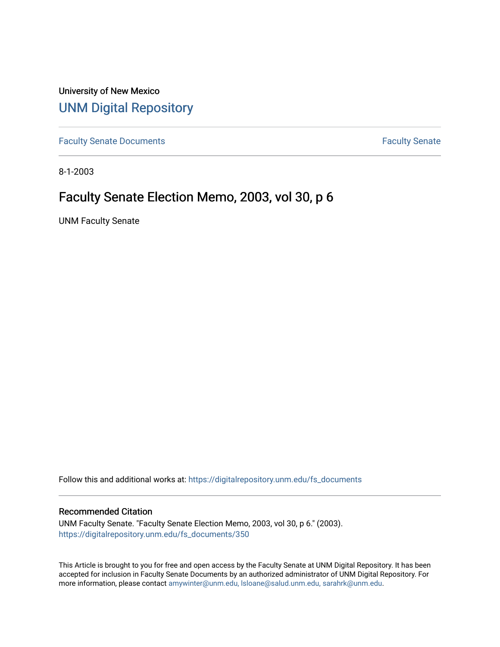University of New Mexico [UNM Digital Repository](https://digitalrepository.unm.edu/) 

[Faculty Senate Documents](https://digitalrepository.unm.edu/fs_documents) **Faculty** Senate **Faculty** Senate

8-1-2003

# Faculty Senate Election Memo, 2003, vol 30, p 6

UNM Faculty Senate

Follow this and additional works at: [https://digitalrepository.unm.edu/fs\\_documents](https://digitalrepository.unm.edu/fs_documents?utm_source=digitalrepository.unm.edu%2Ffs_documents%2F350&utm_medium=PDF&utm_campaign=PDFCoverPages)

#### Recommended Citation

UNM Faculty Senate. "Faculty Senate Election Memo, 2003, vol 30, p 6." (2003). [https://digitalrepository.unm.edu/fs\\_documents/350](https://digitalrepository.unm.edu/fs_documents/350?utm_source=digitalrepository.unm.edu%2Ffs_documents%2F350&utm_medium=PDF&utm_campaign=PDFCoverPages)

This Article is brought to you for free and open access by the Faculty Senate at UNM Digital Repository. It has been accepted for inclusion in Faculty Senate Documents by an authorized administrator of UNM Digital Repository. For more information, please contact [amywinter@unm.edu, lsloane@salud.unm.edu, sarahrk@unm.edu](mailto:amywinter@unm.edu,%20lsloane@salud.unm.edu,%20sarahrk@unm.edu).